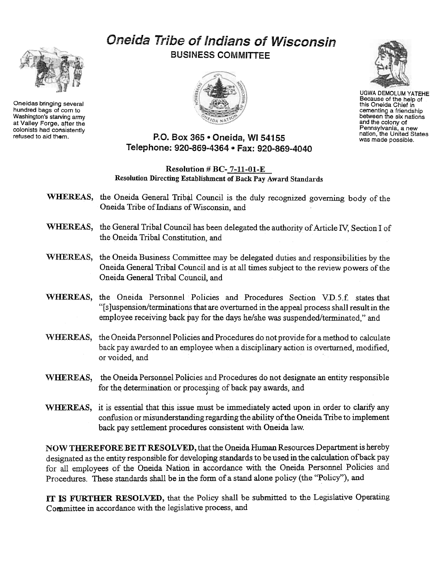

Oneidas bringing several hundred bags of corn to Washington's starving army at Valley Forge, after the colonists had consistently<br>refused to aid them.

## Oneida Tribe of Indians of Wisconsin BUSINESS COMMITTEE





UGWA DEMOLUM YATEHE Because of the help of this Oneida Chief in cementing a friendship between the six nations and the colony of Pennsylvania, a new nation, the United States was made possible.

## P.O. Box 365 · Oneida, WI 54155. Telephone: 920-869-4364 · Fax: 920-869-4040

## Resolution # BC- 7-11-01-E Resolution Directing Establishment of Back Pay Award Standards

- WHEREAS, the Oneida General Tribal Council is the duly recognized governing body of the Oneida Tribe of Indians of Wisconsin, and
- WHEREAS, the General Tribal Council has been delegated the authority of Article IV, Section I of the Oneida Tribal Constitution, and
- WHEREAS, the Oneida Business Committee may be delegated duties and responsibilities by the Oneida General Tribal Council and is at all times subject to the review powers of the Oneida General Tribal Council, and
- WHEREAS, the Oneida Personnel Policies and Procedures Section VD.5.f. states that "[s]uspension/terminations that are overturned in the appeal process shall result in the employee receiving back pay for the days he/she was suspended/terminated," and
- WHEREAS, the Oneida Personnel Policies and Procedures do not provide for a method to calculate back pay awarded to an employee when a disciplinary action is overturned, modified, or voided, and
- WHEREAS, the Oneida Personnel Policies and Procedures do not designate an entity responsible for the determination or processing of back pay awards, and
- WHEREAS, it is essential that this issue must be immediately acted upon in order to clarify any confusion or misunderstaniding regarding the ability of the Oneida Tribe to implement back pay settlement procedures consistent with Oneida law.

NOW THEREFORE BE IT RESOLVED, that the Oneida Human Resources Department is hereby designated as the entity responsible for developing standards to be used in the calculation of back pay for all employees of the Oneida Nation in accordance with the Oneida Personnel Policies and Procedures. These standards shall be in the form of a stand alone policy (the "Policy"), and

IT 1S FURTHER RESOLVED, that the Policy shall be submitted to the Legislatiye Operating Committee in accordance with the legislative process, and